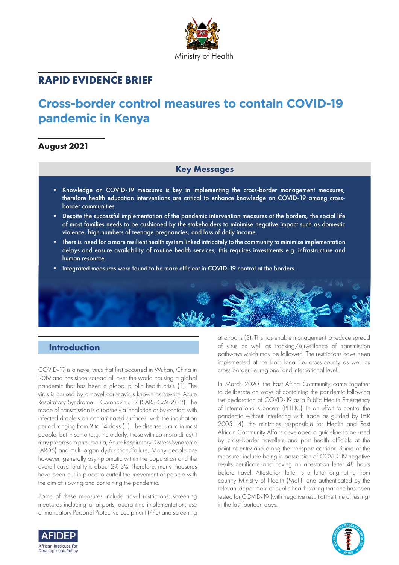

# **RAPID EVIDENCE BRIEF**

# **Cross-border control measures to contain COVID-19 pandemic in Kenya**

# **August 2021**

# **Key Messages**

- Knowledge on COVID-19 measures is key in implementing the cross-border management measures, therefore health education interventions are critical to enhance knowledge on COVID-19 among crossborder communities.
- Despite the successful implementation of the pandemic intervention measures at the borders, the social life of most families needs to be cushioned by the stakeholders to minimise negative impact such as domestic violence, high numbers of teenage pregnancies, and loss of daily income.
- There is need for a more resilient health system linked intricately to the community to minimise implementation delays and ensure availability of routine health services; this requires investments e.g. infrastructure and human resource.
- Integrated measures were found to be more efficient in COVID-19 control at the borders.



COVID-19 is a novel virus that first occurred in Wuhan, China in 2019 and has since spread all over the world causing a global pandemic that has been a global public health crisis (1). The virus is caused by a novel coronavirus known as Severe Acute Respiratory Syndrome – Coronavirus -2 (SARS-CoV-2) (2). The mode of transmission is airborne via inhalation or by contact with infected droplets on contaminated surfaces; with the incubation period ranging from 2 to 14 days (1). The disease is mild in most people; but in some (e.g. the elderly, those with co-morbidities) it may progress to pneumonia, Acute Respiratory Distress Syndrome (ARDS) and multi organ dysfunction/failure. Many people are however, generally asymptomatic within the population and the overall case fatality is about 2%-3%. Therefore, many measures have been put in place to curtail the movement of people with the aim of slowing and containing the pandemic.

Some of these measures include travel restrictions; screening measures including at airports; quarantine implementation; use of mandatory Personal Protective Equipment (PPE) and screening

at airports (3). This has enable management to reduce spread of virus as well as tracking/surveillance of transmission pathways which may be followed. The restrictions have been implemented at the both local i.e. cross-county as well as cross-border i.e. regional and international level.

In March 2020, the East Africa Community came together to deliberate on ways of containing the pandemic following the declaration of COVID-19 as a Public Health Emergency of International Concern (PHEIC). In an effort to control the pandemic without interfering with trade as guided by IHR 2005 (4), the ministries responsible for Health and East African Community Affairs developed a guideline to be used by cross-border travellers and port health officials at the point of entry and along the transport corridor. Some of the measures include being in possession of COVID-19 negative results certificate and having an attestation letter 48 hours before travel. Attestation letter is a letter originating from country Ministry of Health (MoH) and authenticated by the relevant department of public health stating that one has been tested for COVID-19 (with negative result at the time of testing) in the last fourteen days.



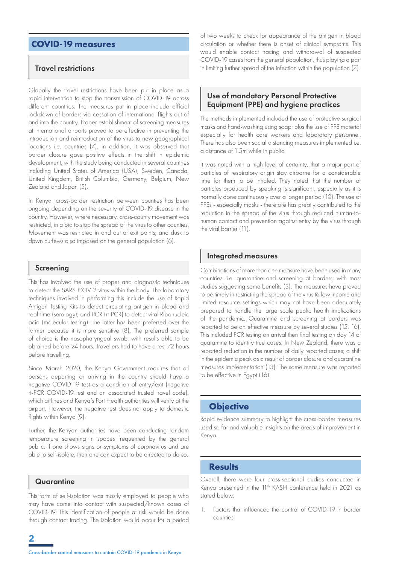# **COVID-19 measures**

### Travel restrictions

Globally the travel restrictions have been put in place as a rapid intervention to stop the transmission of COVID-19 across different countries. The measures put in place include official lockdown of borders via cessation of international flights out of and into the country. Proper establishment of screening measures at international airports proved to be effective in preventing the introduction and reintroduction of the virus to new geographical locations i.e. countries (7). In addition, it was observed that border closure gave positive effects in the shift in epidemic development, with the study being conducted in several countries including United States of America (USA), Sweden, Canada, United Kingdom, British Columbia, Germany, Belgium, New Zealand and Japan (5).

In Kenya, cross-border restriction between counties has been ongoing depending on the severity of COVID-19 disease in the country. However, where necessary, cross-county movement was restricted, in a bid to stop the spread of the virus to other counties. Movement was restricted in and out of exit points, and dusk to dawn curfews also imposed on the general population (6).

#### Screening

This has involved the use of proper and diagnostic techniques to detect the SARS-COV-2 virus within the body. The laboratory techniques involved in performing this include the use of Rapid Antigen Testing Kits to detect circulating antigen in blood and real-time (serology); and PCR (rt-PCR) to detect viral Ribonucleic acid (molecular testing). The latter has been preferred over the former because it is more sensitive (8). The preferred sample of choice is the nasopharyngeal swab, with results able to be obtained before 24 hours. Travellers had to have a test 72 hours before travelling.

Since March 2020, the Kenya Government requires that all persons departing or arriving in the country should have a negative COVID-19 test as a condition of entry/exit (negative rt-PCR COVID-19 test and an associated trusted travel code), which airlines and Kenya's Port Health authorities will verify at the airport. However, the negative test does not apply to domestic flights within Kenya (9).

Further, the Kenyan authorities have been conducting random temperature screening in spaces frequented by the general public. If one shows signs or symptoms of coronavirus and are able to self-isolate, then one can expect to be directed to do so.

#### **Quarantine**

**2**

This form of self-isolation was mostly employed to people who may have come into contact with suspected/known cases of COVID-19. This identification of people at risk would be done through contact tracing. The isolation would occur for a period

of two weeks to check for appearance of the antigen in blood circulation or whether there is onset of clinical symptoms. This would enable contact tracing and withdrawal of suspected COVID-19 cases from the general population, thus playing a part in limiting further spread of the infection within the population (7).

## Use of mandatory Personal Protective Equipment (PPE) and hygiene practices

The methods implemented included the use of protective surgical masks and hand-washing using soap; plus the use of PPE material especially for health care workers and laboratory personnel. There has also been social distancing measures implemented i.e. a distance of 1.5m while in public.

It was noted with a high level of certainty, that a major part of particles of respiratory origin stay airborne for a considerable time for them to be inhaled. They noted that the number of particles produced by speaking is significant, especially as it is normally done continuously over a longer period (10). The use of PPEs - especially masks - therefore has greatly contributed to the reduction in the spread of the virus through reduced human-tohuman contact and prevention against entry by the virus through the viral barrier (11).

#### Integrated measures

Combinations of more than one measure have been used in many countries. i.e. quarantine and screening at borders, with most studies suggesting some benefits (3). The measures have proved to be timely in restricting the spread of the virus to low income and limited resource settings which may not have been adequately prepared to handle the large scale public health implications of the pandemic. Quarantine and screening at borders was reported to be an effective measure by several studies (15, 16). This included PCR testing on arrival then final testing on day 14 of quarantine to identify true cases. In New Zealand, there was a reported reduction in the number of daily reported cases; a shift in the epidemic peak as a result of border closure and quarantine measures implementation (13). The same measure was reported to be effective in Egypt (16).

#### **Objective**

Rapid evidence summary to highlight the cross-border measures used so far and valuable insights on the areas of improvement in Kenya.

# **Results**

Overall, there were four cross-sectional studies conducted in Kenya presented in the 11<sup>th</sup> KASH conference held in 2021 as stated below:

1. Factors that influenced the control of COVID-19 in border counties.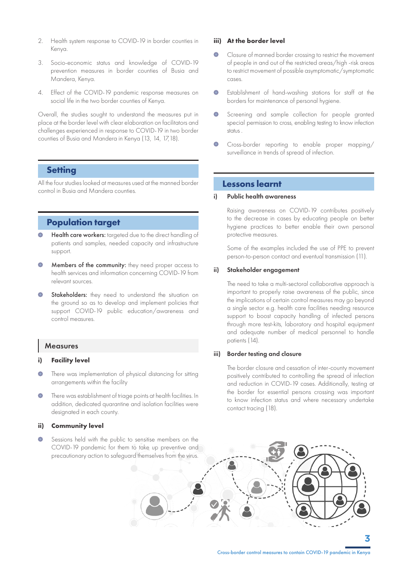- 2. Health system response to COVID-19 in border counties in Kenya.
- 3. Socio-economic status and knowledge of COVID-19 prevention measures in border counties of Busia and Mandera, Kenya.
- 4. Effect of the COVID-19 pandemic response measures on social life in the two border counties of Kenya.

Overall, the studies sought to understand the measures put in place at the border level with clear elaboration on facilitators and challenges experienced in response to COVID-19 in two border counties of Busia and Mandera in Kenya (13, 14, 17,18).

# **Setting**

All the four studies looked at measures used at the manned border control in Busia and Mandera counties.

# **Population target**

- Health care workers: targeted due to the direct handling of patients and samples, needed capacity and infrastructure support.
- Members of the community: they need proper access to  $\Box$ health services and information concerning COVID-19 from relevant sources.
- **Stakeholders:** they need to understand the situation on the ground so as to develop and implement policies that support COVID-19 public education/awareness and control measures.

#### **Measures**

#### **i) Facility level**

- $\overline{\phantom{a}}$ There was implementation of physical distancing for sitting arrangements within the facility
- There was establishment of triage points at health facilities. In  $\bullet$ addition, dedicated quarantine and isolation facilities were designated in each county.

#### **ii) Community level**

Sessions held with the public to sensitise members on the COVID-19 pandemic for them to take up preventive and precautionary action to safeguard themselves from the virus.

#### **iii) At the border level**

- Closure of manned border crossing to restrict the movement of people in and out of the restricted areas/high -risk areas to restrict movement of possible asymptomatic/symptomatic cases.
- Establishment of hand-washing stations for staff at the borders for maintenance of personal hygiene.
- Screening and sample collection for people granted special permission to cross, enabling testing to know infection status .
- Cross-border reporting to enable proper mapping/ surveillance in trends of spread of infection.

## **Lessons learnt**

#### i) Public health awareness

Raising awareness on COVID-19 contributes positively to the decrease in cases by educating people on better hygiene practices to better enable their own personal protective measures.

Some of the examples included the use of PPE to prevent person-to-person contact and eventual transmission (11).

#### ii) Stakeholder engagement

The need to take a multi-sectoral collaborative approach is important to properly raise awareness of the public, since the implications of certain control measures may go beyond a single sector e.g. health care facilities needing resource support to boost capacity handling of infected persons through more test-kits, laboratory and hospital equipment and adequate number of medical personnel to handle patients (14).

#### iii) Border testing and closure

The border closure and cessation of inter-county movement positively contributed to controlling the spread of infection and reduction in COVID-19 cases. Additionally, testing at the border for essential persons crossing was important to know infection status and where necessary undertake contact tracing (18).



**3**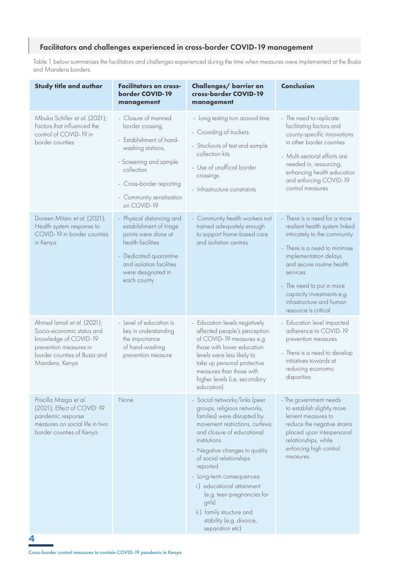# Facilitators and challenges experienced in cross-border COVID-19 management

Table 1 below summarises the facilitators and challenges experienced during the time when measures were implemented at the Busia and Mandera borders.

| <b>Study title and author</b>                                                                                                                                 | <b>Facilitators on cross-</b><br>border COVID-19<br>management                                                                                                                                           | Challenges/ barrier on<br>cross-border COVID-19<br>management                                                                                                                                                                                                                                                                                                                                                                      | <b>Conclusion</b>                                                                                                                                                                                                                                                                                               |
|---------------------------------------------------------------------------------------------------------------------------------------------------------------|----------------------------------------------------------------------------------------------------------------------------------------------------------------------------------------------------------|------------------------------------------------------------------------------------------------------------------------------------------------------------------------------------------------------------------------------------------------------------------------------------------------------------------------------------------------------------------------------------------------------------------------------------|-----------------------------------------------------------------------------------------------------------------------------------------------------------------------------------------------------------------------------------------------------------------------------------------------------------------|
| Mbuka Schiller et al. (2021);<br>Factors that influenced the<br>control of COVID-19 in<br>border counties                                                     | - Closure of manned<br>border crossing,<br>- Establishment of hand-<br>washing stations,<br>- Screening and sample<br>collection<br>- Cross-border reporting<br>- Community sensitisation<br>on COVID-19 | - Long testing turn around time<br>- Crowding of truckers<br>- Stockouts of test and sample<br>collection kits<br>- Use of unofficial border<br>crossings<br>- Infrastructure constraints                                                                                                                                                                                                                                          | - The need to replicate<br>facilitating factors and<br>county-specific innovations<br>in other border counties<br>- Multi-sectoral efforts are<br>needed in, resourcing,<br>enhancing health education<br>and enforcing COVID-19<br>control measures                                                            |
| Doreen Mitaru et al. (2021);<br>Health system response to<br>COVID-19 in border counties<br>in Kenya                                                          | Physical distancing and<br>establishment of triage<br>points were done at<br>health facilities<br>- Dedicated quarantine<br>and isolation facilities<br>were designated in<br>each county                | - Community health workers not<br>trained adequately enough<br>to support home-based care<br>and isolation centres                                                                                                                                                                                                                                                                                                                 | - There is a need for a more<br>resilient health system linked<br>intricately to the community<br>- There is a need to minimise<br>implementation delays<br>and secure routine health<br>services<br>- The need to put in more<br>capacity investments e.g.<br>infrastructure and human<br>resource is critical |
| Ahmed Ismail et al. (2021);<br>Socio-economic status and<br>knowledge of COVID-19<br>prevention measures in<br>border counties of Busia and<br>Mandera, Kenya | - Level of education is<br>key in understanding<br>the importance<br>of hand-washing<br>prevention measure                                                                                               | - Education levels negatively<br>affected people's perception<br>of COVID-19 measures e.g.<br>those with lower education<br>levels were less likely to<br>take up personal protective<br>measures than those with<br>higher levels (i.e. secondary<br>education)                                                                                                                                                                   | - Education level impacted<br>adherence to COVID-19<br>prevention measures<br>- There is a need to develop<br>initiatives towards at<br>reducing economic<br>disparities                                                                                                                                        |
| Priscilla Maiga et al.<br>(2021); Effect of COVID-19<br>pandemic response<br>measures on social life in two<br>border counties of Kenya                       | None                                                                                                                                                                                                     | - Social networks/links (peer<br>groups, religious networks,<br>families) were disrupted by<br>movement restrictions, curfews<br>and closure of educational<br>institutions<br>- Negative changes in quality<br>of social relationships<br>reported<br>- Long-term consequences:<br>i.) educational attainment<br>(e.g. teen pregnancies for<br>girls)<br>ii.) family structure and<br>stability (e.g. divorce,<br>separation etc) | - The government needs<br>to establish slightly more<br>lenient measures to<br>reduce the negative strains<br>placed upon interpersonal<br>relationships, while<br>enforcing high control<br>measures                                                                                                           |

**4**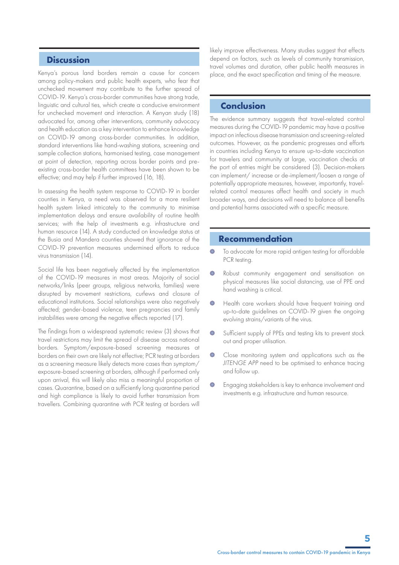## **Discussion**

Kenya's porous land borders remain a cause for concern among policy-makers and public health experts, who fear that unchecked movement may contribute to the further spread of COVID-19. Kenya's cross-border communities have strong trade, linguistic and cultural ties, which create a conducive environment for unchecked movement and interaction. A Kenyan study (18) advocated for, among other interventions, community advocacy and health education as a key intervention to enhance knowledge on COVID-19 among cross-border communities. In addition, standard interventions like hand-washing stations, screening and sample collection stations, harmonised testing, case management at point of detection, reporting across border points and preexisting cross-border health committees have been shown to be effective; and may help if further improved (16, 18).

In assessing the health system response to COVID-19 in border counties in Kenya, a need was observed for a more resilient health system linked intricately to the community to minimise implementation delays and ensure availability of routine health services; with the help of investments e.g. infrastructure and human resource (14). A study conducted on knowledge status at the Busia and Mandera counties showed that ignorance of the COVID-19 prevention measures undermined efforts to reduce virus transmission (14).

Social life has been negatively affected by the implementation of the COVID-19 measures in most areas. Majority of social networks/links (peer groups, religious networks, families) were disrupted by movement restrictions, curfews and closure of educational institutions. Social relationships were also negatively affected; gender-based violence, teen pregnancies and family instabilities were among the negative effects reported (17).

The findings from a widespread systematic review (3) shows that travel restrictions may limit the spread of disease across national borders. Symptom/exposure-based screening measures at borders on their own are likely not effective; PCR testing at borders as a screening measure likely detects more cases than symptom/ exposure-based screening at borders, although if performed only upon arrival, this will likely also miss a meaningful proportion of cases. Quarantine, based on a sufficiently long quarantine period and high compliance is likely to avoid further transmission from travellers. Combining quarantine with PCR testing at borders will

likely improve effectiveness. Many studies suggest that effects depend on factors, such as levels of community transmission, travel volumes and duration, other public health measures in place, and the exact specification and timing of the measure.

### **Conclusion**

The evidence summary suggests that travel-related control measures during the COVID-19 pandemic may have a positive impact on infectious disease transmission and screening-related outcomes. However, as the pandemic progresses and efforts in countries including Kenya to ensure up-to-date vaccination for travelers and community at large, vaccination checks at the port of entries might be considered (3). Decision-makers can implement/ increase or de-implement/loosen a range of potentially appropriate measures, however, importantly, travelrelated control measures affect health and society in much broader ways, and decisions will need to balance all benefits and potential harms associated with a specific measure.

# **Recommendation**

- $\bullet$  To advocate for more rapid antigen testing for affordable PCR testing.
- $\bullet$ Robust community engagement and sensitisation on physical measures like social distancing, use of PPE and hand washing is critical.
- $\bullet$ Health care workers should have frequent training and up-to-date guidelines on COVID-19 given the ongoing evolving strains/variants of the virus.
- $\bullet$ Sufficient supply of PPEs and testing kits to prevent stock out and proper utilisation.
- $\bullet$ Close monitoring system and applications such as the *JITENGE APP* need to be optimised to enhance tracing and follow up.
- Engaging stakeholders is key to enhance involvement and  $\bullet$ investments e.g. infrastructure and human resource.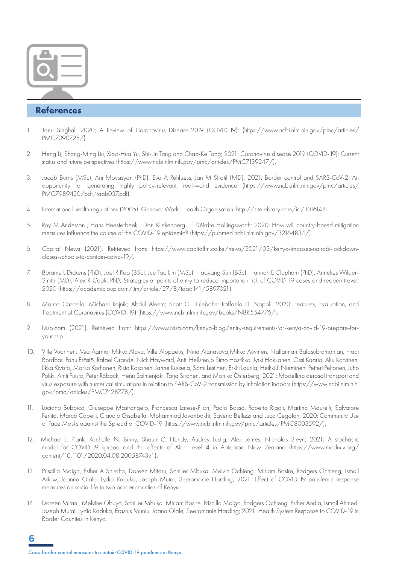

# **References**

- 1. Tanu Singhal, 2020; A Review of Coronavirus Disease-2019 (COVID-19): (https://www.ncbi.nlm.nih.gov/pmc/articles/ PMC7090728/).
- 2. Heng Li, Shang-Ming Liu, Xiao-Hua Yu, Shi-Lin Tang and Chao-Ke Tang; 2021: Coronavirus disease 2019 (COVID-19): Current status and future perspectives (https://www.ncbi.nlm.nih.gov/pmc/articles/PMC7139247/).
- 3. Jacob Burns (MSc), Ani Movsisyan (PhD), Eva A Rehfuess, Jan M Stratil (MD); 2021: Border control and SARS-CoV-2: An opportunity for generating highly policy-relevant, real-world evidence (https://www.ncbi.nlm.nih.gov/pmc/articles/ PMC7989420/pdf/taab037.pdf).
- 4. International health regulations (2005). Geneva: World Health Organisation. http://site.ebrary.com/id/10161481.
- 5. Roy M Anderson , Hans Heesterbeek , Don Klinkenberg , T Déirdre Hollingsworth; 2020: How will country-based mitigation measures influence the course of the COVID-19 epidemic? (https://pubmed.ncbi.nlm.nih.gov/32164834/).
- 6. Capital News (2021). Retrieved from: https://www.capitalfm.co.ke/news/2021/03/kenya-imposes-nairobi-lockdowncloses-schools-to-contain-covid-19/.
- 7. Borame L Dickens (PhD), Joel R Koo (BSc), Jue Tao Lim (MSc), Haoyang Sun (BSc), Hannah E Clapham (PhD), Annelies Wilder-Smith (MD), Alex R Cook, PhD; Strategies at points of entry to reduce importation risk of COVID-19 cases and reopen travel: 2020 (https://academic.oup.com/jtm/article/27/8/taaa141/5897021).
- 8. Marco Cascella; Michael Rajnik; Abdul Aleem; Scott C. Dulebohn; Raffaela Di Napoli; 2020: Features, Evaluation, and Treatment of Coronavirus (COVID-19) (https://www.ncbi.nlm.nih.gov/books/NBK554776/).
- 9. Iviso.com (2021). Retrieved from: https://www.ivisa.com/kenya-blog/entry-requirements-for-kenya-covid-19-prepare-foryour-trip.
- 10. Ville Vuorinen, Mia Aarnio, Mikko Alava, Ville Alopaeus, Nina Atanasova,Mikko Auvinen, Nallannan Balasubramanian, Hadi Bordbar, Panu Erästö, Rafael Grande, Nick Hayward, Antti Hellsten,b Simo Hostikka, Jyrki Hokkanen, Ossi Kaario, Aku Karvinen, Ilkka Kivistö, Marko Korhonen, Risto Kosonen, Janne Kuusela, Sami Lestinen, Erkki Laurila, Heikki J. Nieminen, Petteri Peltonen, Juho Pokki, Antti Puisto, Peter Råback, Henri Salmenjoki, Tarja Sironen, and Monika Österberg; 2021: Modelling aerosol transport and virus exposure with numerical simulations in relation to SARS-CoV-2 transmission by inhalation indoors (https://www.ncbi.nlm.nih. gov/pmc/articles/PMC7428778/).
- 11. Luciano Bubbico, Giuseppe Mastrangelo, Francesca Larese-Filon, Paolo Basso, Roberto Rigoli, Martina Maurelli, Salvatore Ferlito, Marco Capelli, Claudio Gisabella, Mohammad Javanbakht, Saverio Bellizzi and Luca Cegolon; 2020: Community Use of Face Masks against the Spread of COVID-19 (https://www.ncbi.nlm.nih.gov/pmc/articles/PMC8003592/).
- 12. Michael J. Plank, Rachelle N. Binny, Shaun C. Hendy, Audrey Lustig, Alex James, Nicholas Steyn; 2021: A stochastic model for COVID-19 spread and the effects of Alert Level 4 in Aotearoa New Zealand (https://www.medrxiv.org/ content/10.1101/2020.04.08.20058743v1).
- 13. Priscilla Maiga, Esther A Shiraho, Doreen Mitaru, Schiller Mbuka, Melvin Ochieng, Miriam Bosire, Rodgers Ochieng, Ismail Adow, Joanna Olale, Lydia Kaduka, Joseph Mutai, Seeromanie Harding; 2021: Effect of COVID-19 pandemic response measures on social life in two border counties of Kenya.
- 14. Doreen Mitaru, Melvine Obuya, Schiller Mbuka, Miriam Bosire, Priscilla Maiga, Rodgers Ochieng, Esther Andia, Ismail Ahmed, Joseph Mutai, Lydia Kaduka, Erastus Muniu, Joana Olale, Seeromanie Harding; 2021: Health System Response to COVID-19 in Border Counties in Kenya.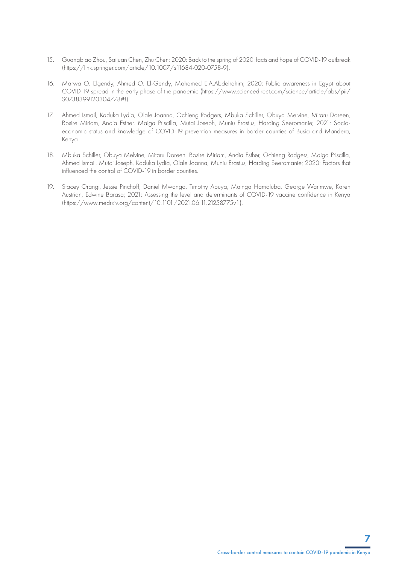- 15. Guangbiao Zhou, Saijuan Chen, Zhu Chen; 2020: Back to the spring of 2020: facts and hope of COVID-19 outbreak (https://link.springer.com/article/10.1007/s11684-020-0758-9).
- 16. Marwa O. Elgendy, Ahmed O. El-Gendy, Mohamed E.A.Abdelrahim; 2020: Public awareness in Egypt about COVID-19 spread in the early phase of the pandemic (https://www.sciencedirect.com/science/article/abs/pii/ S0738399120304778#!).
- 17. Ahmed Ismail, Kaduka Lydia, Olale Joanna, Ochieng Rodgers, Mbuka Schiller, Obuya Melvine, Mitaru Doreen, Bosire Miriam, Andia Esther, Maiga Priscilla, Mutai Joseph, Muniu Erastus, Harding Seeromanie; 2021: Socioeconomic status and knowledge of COVID-19 prevention measures in border counties of Busia and Mandera, Kenya.
- 18. Mbuka Schiller, Obuya Melvine, Mitaru Doreen, Bosire Miriam, Andia Esther, Ochieng Rodgers, Maiga Priscilla, Ahmed Ismail, Mutai Joseph, Kaduka Lydia, Olale Joanna, Muniu Erastus, Harding Seeromanie; 2020: Factors that influenced the control of COVID-19 in border counties.
- 19. Stacey Orangi, Jessie Pinchoff, Daniel Mwanga, Timothy Abuya, Mainga Hamaluba, George Warimwe, Karen Austrian, Edwine Barasa; 2021: Assessing the level and determinants of COVID-19 vaccine confidence in Kenya (https://www.medrxiv.org/content/10.1101/2021.06.11.21258775v1).